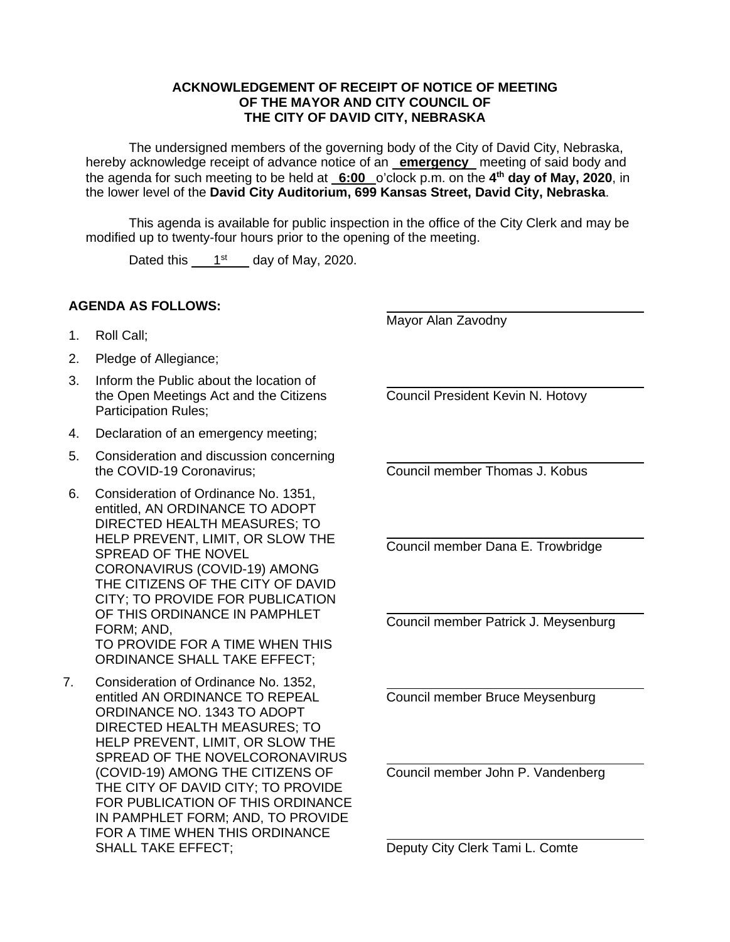## **ACKNOWLEDGEMENT OF RECEIPT OF NOTICE OF MEETING OF THE MAYOR AND CITY COUNCIL OF THE CITY OF DAVID CITY, NEBRASKA**

The undersigned members of the governing body of the City of David City, Nebraska, hereby acknowledge receipt of advance notice of an **emergency** meeting of said body and the agenda for such meeting to be held at **6:00** o'clock p.m. on the **4 th day of May, 2020**, in the lower level of the **David City Auditorium, 699 Kansas Street, David City, Nebraska**.

This agenda is available for public inspection in the office of the City Clerk and may be modified up to twenty-four hours prior to the opening of the meeting.

Dated this  $1<sup>st</sup>$  day of May, 2020.

## **AGENDA AS FOLLOWS:**

 $\overline{a}$ Mayor Alan Zavodny

 $\overline{a}$ 

 $\overline{a}$ 

 $\overline{a}$ 

 $\overline{a}$ 

- 1. Roll Call;
- 2. Pledge of Allegiance;
- 3. Inform the Public about the location of the Open Meetings Act and the Citizens Participation Rules;
- 4. Declaration of an emergency meeting;
- 5. Consideration and discussion concerning the COVID-19 Coronavirus;
- 6. Consideration of Ordinance No. 1351, entitled, AN ORDINANCE TO ADOPT DIRECTED HEALTH MEASURES; TO HELP PREVENT, LIMIT, OR SLOW THE SPREAD OF THE NOVEL CORONAVIRUS (COVID-19) AMONG THE CITIZENS OF THE CITY OF DAVID CITY; TO PROVIDE FOR PUBLICATION OF THIS ORDINANCE IN PAMPHLET FORM; AND, TO PROVIDE FOR A TIME WHEN THIS ORDINANCE SHALL TAKE EFFECT;
- 7. Consideration of Ordinance No. 1352, entitled AN ORDINANCE TO REPEAL ORDINANCE NO. 1343 TO ADOPT DIRECTED HEALTH MEASURES; TO HELP PREVENT, LIMIT, OR SLOW THE SPREAD OF THE NOVELCORONAVIRUS (COVID-19) AMONG THE CITIZENS OF THE CITY OF DAVID CITY; TO PROVIDE FOR PUBLICATION OF THIS ORDINANCE IN PAMPHLET FORM; AND, TO PROVIDE FOR A TIME WHEN THIS ORDINANCE SHALL TAKE EFFECT;

Council President Kevin N. Hotovy

 $\overline{a}$ Council member Thomas J. Kobus

Council member Dana E. Trowbridge

Council member Patrick J. Meysenburg

 $\overline{a}$ Council member Bruce Meysenburg

 $\overline{a}$ Council member John P. Vandenberg

Deputy City Clerk Tami L. Comte